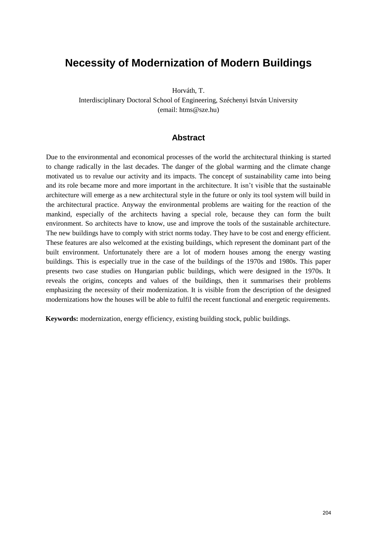# **Necessity of Modernization of Modern Buildings**

Horváth, T.

Interdisciplinary Doctoral School of Engineering, Széchenyi István University (email: htms@sze.hu)

#### **Abstract**

Due to the environmental and economical processes of the world the architectural thinking is started to change radically in the last decades. The danger of the global warming and the climate change motivated us to revalue our activity and its impacts. The concept of sustainability came into being and its role became more and more important in the architecture. It isn't visible that the sustainable architecture will emerge as a new architectural style in the future or only its tool system will build in the architectural practice. Anyway the environmental problems are waiting for the reaction of the mankind, especially of the architects having a special role, because they can form the built environment. So architects have to know, use and improve the tools of the sustainable architecture. The new buildings have to comply with strict norms today. They have to be cost and energy efficient. These features are also welcomed at the existing buildings, which represent the dominant part of the built environment. Unfortunately there are a lot of modern houses among the energy wasting buildings. This is especially true in the case of the buildings of the 1970s and 1980s. This paper presents two case studies on Hungarian public buildings, which were designed in the 1970s. It reveals the origins, concepts and values of the buildings, then it summarises their problems emphasizing the necessity of their modernization. It is visible from the description of the designed modernizations how the houses will be able to fulfil the recent functional and energetic requirements.

**Keywords:** modernization, energy efficiency, existing building stock, public buildings.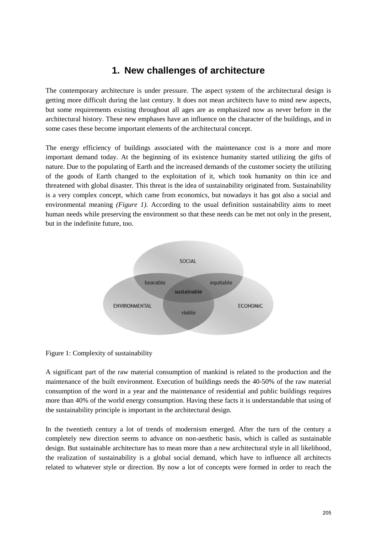# **1. New challenges of architecture**

The contemporary architecture is under pressure. The aspect system of the architectural design is getting more difficult during the last century. It does not mean architects have to mind new aspects, but some requirements existing throughout all ages are as emphasized now as never before in the architectural history. These new emphases have an influence on the character of the buildings, and in some cases these become important elements of the architectural concept.

The energy efficiency of buildings associated with the maintenance cost is a more and more important demand today. At the beginning of its existence humanity started utilizing the gifts of nature. Due to the populating of Earth and the increased demands of the customer society the utilizing of the goods of Earth changed to the exploitation of it, which took humanity on thin ice and threatened with global disaster. This threat is the idea of sustainability originated from. Sustainability is a very complex concept, which came from economics, but nowadays it has got also a social and environmental meaning *(Figure 1)*. According to the usual definition sustainability aims to meet human needs while preserving the environment so that these needs can be met not only in the present, but in the indefinite future, too.



#### Figure 1: Complexity of sustainability

A significant part of the raw material consumption of mankind is related to the production and the maintenance of the built environment. Execution of buildings needs the 40-50% of the raw material consumption of the word in a year and the maintenance of residential and public buildings requires more than 40% of the world energy consumption. Having these facts it is understandable that using of the sustainability principle is important in the architectural design.

In the twentieth century a lot of trends of modernism emerged. After the turn of the century a completely new direction seems to advance on non-aesthetic basis, which is called as sustainable design. But sustainable architecture has to mean more than a new architectural style in all likelihood, the realization of sustainability is a global social demand, which have to influence all architects related to whatever style or direction. By now a lot of concepts were formed in order to reach the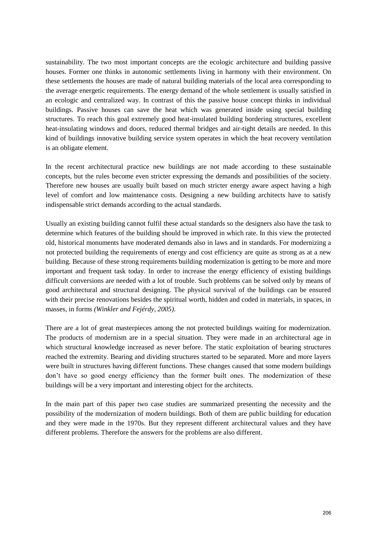sustainability. The two most important concepts are the ecologic architecture and building passive houses. Former one thinks in autonomic settlements living in harmony with their environment. On these settlements the houses are made of natural building materials of the local area corresponding to the average energetic requirements. The energy demand of the whole settlement is usually satisfied in an ecologic and centralized way. In contrast of this the passive house concept thinks in individual buildings. Passive houses can save the heat which was generated inside using special building structures. To reach this goal extremely good heat-insulated building bordering structures, excellent heat-insulating windows and doors, reduced thermal bridges and air-tight details are needed. In this kind of buildings innovative building service system operates in which the heat recovery ventilation is an obligate element.

In the recent architectural practice new buildings are not made according to these sustainable concepts, but the rules become even stricter expressing the demands and possibilities of the society. Therefore new houses are usually built based on much stricter energy aware aspect having a high level of comfort and low maintenance costs. Designing a new building architects have to satisfy indispensable strict demands according to the actual standards.

Usually an existing building cannot fulfil these actual standards so the designers also have the task to determine which features of the building should be improved in which rate. In this view the protected old, historical monuments have moderated demands also in laws and in standards. For modernizing a not protected building the requirements of energy and cost efficiency are quite as strong as at a new building. Because of these strong requirements building modernization is getting to be more and more important and frequent task today. In order to increase the energy efficiency of existing buildings difficult conversions are needed with a lot of trouble. Such problems can be solved only by means of good architectural and structural designing. The physical survival of the buildings can be ensured with their precise renovations besides the spiritual worth, hidden and coded in materials, in spaces, in masses, in forms *(Winkler and Fejérdy, 2005)*.

There are a lot of great masterpieces among the not protected buildings waiting for modernization. The products of modernism are in a special situation. They were made in an architectural age in which structural knowledge increased as never before. The static exploitation of bearing structures reached the extremity. Bearing and dividing structures started to be separated. More and more layers were built in structures having different functions. These changes caused that some modern buildings don"t have so good energy efficiency than the former built ones. The modernization of these buildings will be a very important and interesting object for the architects.

In the main part of this paper two case studies are summarized presenting the necessity and the possibility of the modernization of modern buildings. Both of them are public building for education and they were made in the 1970s. But they represent different architectural values and they have different problems. Therefore the answers for the problems are also different.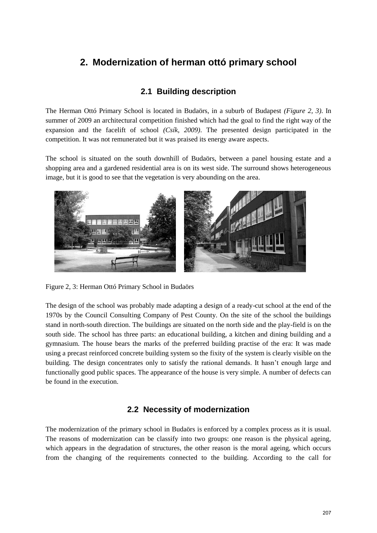# **2. Modernization of herman ottó primary school**

### **2.1 Building description**

The Herman Ottó Primary School is located in Budaörs, in a suburb of Budapest *(Figure 2, 3)*. In summer of 2009 an architectural competition finished which had the goal to find the right way of the expansion and the facelift of school *(Csík, 2009)*. The presented design participated in the competition. It was not remunerated but it was praised its energy aware aspects.

The school is situated on the south downhill of Budaörs, between a panel housing estate and a shopping area and a gardened residential area is on its west side. The surround shows heterogeneous image, but it is good to see that the vegetation is very abounding on the area.



Figure 2, 3: Herman Ottó Primary School in Budaörs

The design of the school was probably made adapting a design of a ready-cut school at the end of the 1970s by the Council Consulting Company of Pest County. On the site of the school the buildings stand in north-south direction. The buildings are situated on the north side and the play-field is on the south side. The school has three parts: an educational building, a kitchen and dining building and a gymnasium. The house bears the marks of the preferred building practise of the era: It was made using a precast reinforced concrete building system so the fixity of the system is clearly visible on the building. The design concentrates only to satisfy the rational demands. It hasn"t enough large and functionally good public spaces. The appearance of the house is very simple. A number of defects can be found in the execution.

#### **2.2 Necessity of modernization**

The modernization of the primary school in Budaörs is enforced by a complex process as it is usual. The reasons of modernization can be classify into two groups: one reason is the physical ageing, which appears in the degradation of structures, the other reason is the moral ageing, which occurs from the changing of the requirements connected to the building. According to the call for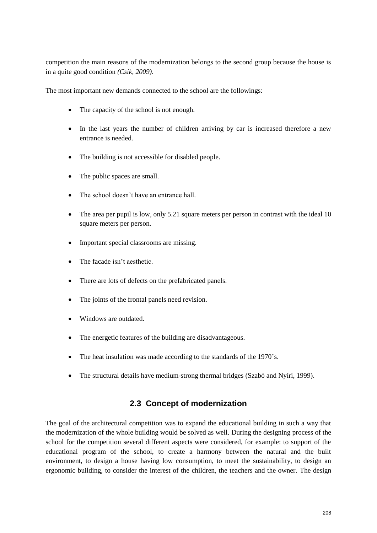competition the main reasons of the modernization belongs to the second group because the house is in a quite good condition *(Csík, 2009)*.

The most important new demands connected to the school are the followings:

- The capacity of the school is not enough.
- In the last years the number of children arriving by car is increased therefore a new entrance is needed.
- The building is not accessible for disabled people.
- The public spaces are small.
- The school doesn't have an entrance hall.
- The area per pupil is low, only 5.21 square meters per person in contrast with the ideal 10 square meters per person.
- Important special classrooms are missing.
- The facade isn't aesthetic.
- There are lots of defects on the prefabricated panels.
- The joints of the frontal panels need revision.
- Windows are outdated.
- The energetic features of the building are disadvantageous.
- The heat insulation was made according to the standards of the 1970's.
- The structural details have medium-strong thermal bridges (Szabó and Nyíri, 1999).

### **2.3 Concept of modernization**

The goal of the architectural competition was to expand the educational building in such a way that the modernization of the whole building would be solved as well. During the designing process of the school for the competition several different aspects were considered, for example: to support of the educational program of the school, to create a harmony between the natural and the built environment, to design a house having low consumption, to meet the sustainability, to design an ergonomic building, to consider the interest of the children, the teachers and the owner. The design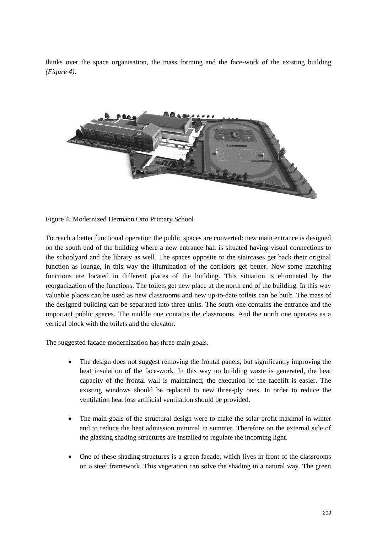thinks over the space organisation, the mass forming and the face-work of the existing building *(Figure 4)*.



Figure 4: Modernized Hermann Otto Primary School

To reach a better functional operation the public spaces are converted: new main entrance is designed on the south end of the building where a new entrance hall is situated having visual connections to the schoolyard and the library as well. The spaces opposite to the staircases get back their original function as lounge, in this way the illumination of the corridors get better. Now some matching functions are located in different places of the building. This situation is eliminated by the reorganization of the functions. The toilets get new place at the north end of the building. In this way valuable places can be used as new classrooms and new up-to-date toilets can be built. The mass of the designed building can be separated into three units. The south one contains the entrance and the important public spaces. The middle one contains the classrooms. And the north one operates as a vertical block with the toilets and the elevator.

The suggested facade modernization has three main goals.

- The design does not suggest removing the frontal panels, but significantly improving the heat insulation of the face-work. In this way no building waste is generated, the heat capacity of the frontal wall is maintained; the execution of the facelift is easier. The existing windows should be replaced to new three-ply ones. In order to reduce the ventilation heat loss artificial ventilation should be provided.
- The main goals of the structural design were to make the solar profit maximal in winter and to reduce the heat admission minimal in summer. Therefore on the external side of the glassing shading structures are installed to regulate the incoming light.
- One of these shading structures is a green facade, which lives in front of the classrooms on a steel framework. This vegetation can solve the shading in a natural way. The green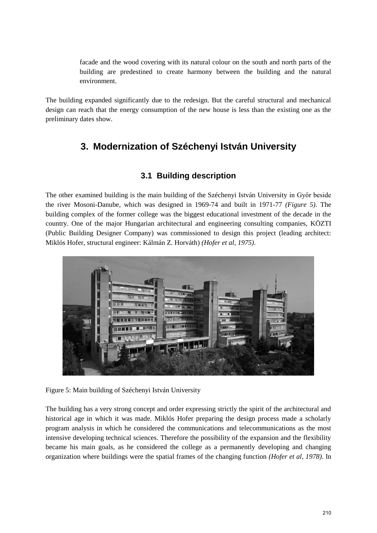facade and the wood covering with its natural colour on the south and north parts of the building are predestined to create harmony between the building and the natural environment.

The building expanded significantly due to the redesign. But the careful structural and mechanical design can reach that the energy consumption of the new house is less than the existing one as the preliminary dates show.

# **3. Modernization of Széchenyi István University**

### **3.1 Building description**

The other examined building is the main building of the Széchenyi István University in Győr beside the river Mosoni-Danube, which was designed in 1969-74 and built in 1971-77 *(Figure 5)*. The building complex of the former college was the biggest educational investment of the decade in the country. One of the major Hungarian architectural and engineering consulting companies, KÖZTI (Public Building Designer Company) was commissioned to design this project (leading architect: Miklós Hofer, structural engineer: Kálmán Z. Horváth) *(Hofer et al, 1975)*.



Figure 5: Main building of Széchenyi István University

The building has a very strong concept and order expressing strictly the spirit of the architectural and historical age in which it was made. Miklós Hofer preparing the design process made a scholarly program analysis in which he considered the communications and telecommunications as the most intensive developing technical sciences. Therefore the possibility of the expansion and the flexibility became his main goals, as he considered the college as a permanently developing and changing organization where buildings were the spatial frames of the changing function *(Hofer et al, 1978)*. In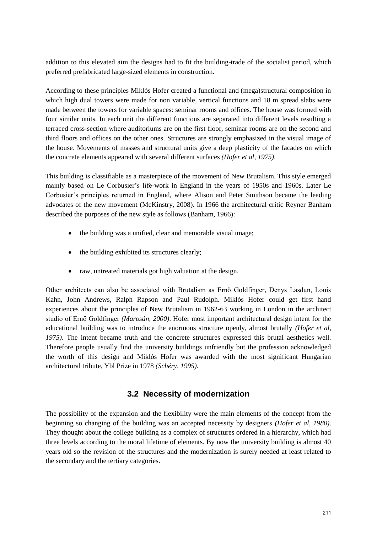addition to this elevated aim the designs had to fit the building-trade of the socialist period, which preferred prefabricated large-sized elements in construction.

According to these principles Miklós Hofer created a functional and (mega)structural composition in which high dual towers were made for non variable, vertical functions and 18 m spread slabs were made between the towers for variable spaces: seminar rooms and offices. The house was formed with four similar units. In each unit the different functions are separated into different levels resulting a terraced cross-section where auditoriums are on the first floor, seminar rooms are on the second and third floors and offices on the other ones. Structures are strongly emphasized in the visual image of the house. Movements of masses and structural units give a deep plasticity of the facades on which the concrete elements appeared with several different surfaces *(Hofer et al, 1975)*.

This building is classifiable as a masterpiece of the movement of New Brutalism. This style emerged mainly based on Le Corbusier's life-work in England in the years of 1950s and 1960s. Later Le Corbusier"s principles returned in England, where Alison and Peter Smithson became the leading advocates of the new movement (McKinstry, 2008). In 1966 the architectural critic Reyner Banham described the purposes of the new style as follows (Banham, 1966):

- the building was a unified, clear and memorable visual image;
- the building exhibited its structures clearly;
- raw, untreated materials got high valuation at the design.

Other architects can also be associated with Brutalism as Ernő Goldfinger, Denys Lasdun, Louis Kahn, John Andrews, Ralph Rapson and Paul Rudolph. Miklós Hofer could get first hand experiences about the principles of New Brutalism in 1962-63 working in London in the architect studio of Ernő Goldfinger *(Marosán, 2000)*. Hofer most important architectural design intent for the educational building was to introduce the enormous structure openly, almost brutally *(Hofer et al, 1975)*. The intent became truth and the concrete structures expressed this brutal aesthetics well. Therefore people usually find the university buildings unfriendly but the profession acknowledged the worth of this design and Miklós Hofer was awarded with the most significant Hungarian architectural tribute, Ybl Prize in 1978 *(Schéry, 1995)*.

### **3.2 Necessity of modernization**

The possibility of the expansion and the flexibility were the main elements of the concept from the beginning so changing of the building was an accepted necessity by designers *(Hofer et al, 1980)*. They thought about the college building as a complex of structures ordered in a hierarchy, which had three levels according to the moral lifetime of elements. By now the university building is almost 40 years old so the revision of the structures and the modernization is surely needed at least related to the secondary and the tertiary categories.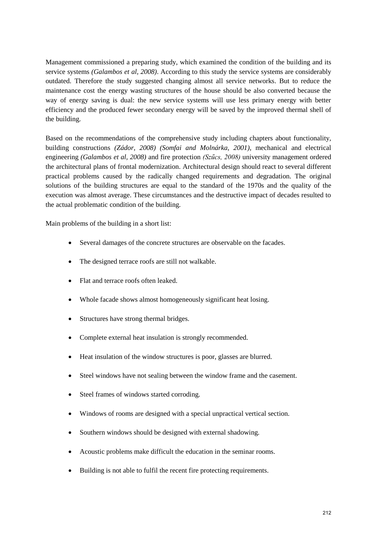Management commissioned a preparing study, which examined the condition of the building and its service systems *(Galambos et al, 2008)*. According to this study the service systems are considerably outdated. Therefore the study suggested changing almost all service networks. But to reduce the maintenance cost the energy wasting structures of the house should be also converted because the way of energy saving is dual: the new service systems will use less primary energy with better efficiency and the produced fewer secondary energy will be saved by the improved thermal shell of the building.

Based on the recommendations of the comprehensive study including chapters about functionality, building constructions *(Zádor, 2008) (Somfai and Molnárka, 2001)*, mechanical and electrical engineering *(Galambos et al, 2008)* and fire protection *(Szűcs, 2008)* university management ordered the architectural plans of frontal modernization. Architectural design should react to several different practical problems caused by the radically changed requirements and degradation. The original solutions of the building structures are equal to the standard of the 1970s and the quality of the execution was almost average. These circumstances and the destructive impact of decades resulted to the actual problematic condition of the building.

Main problems of the building in a short list:

- Several damages of the concrete structures are observable on the facades.
- The designed terrace roofs are still not walkable.
- Flat and terrace roofs often leaked.
- Whole facade shows almost homogeneously significant heat losing.
- Structures have strong thermal bridges.
- Complete external heat insulation is strongly recommended.
- Heat insulation of the window structures is poor, glasses are blurred.
- Steel windows have not sealing between the window frame and the casement.
- Steel frames of windows started corroding.
- Windows of rooms are designed with a special unpractical vertical section.
- Southern windows should be designed with external shadowing.
- Acoustic problems make difficult the education in the seminar rooms.
- Building is not able to fulfil the recent fire protecting requirements.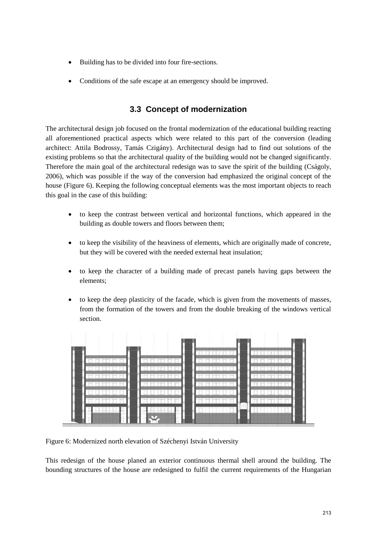- Building has to be divided into four fire-sections.
- Conditions of the safe escape at an emergency should be improved.

### **3.3 Concept of modernization**

The architectural design job focused on the frontal modernization of the educational building reacting all aforementioned practical aspects which were related to this part of the conversion (leading architect: Attila Bodrossy, Tamás Czigány). Architectural design had to find out solutions of the existing problems so that the architectural quality of the building would not be changed significantly. Therefore the main goal of the architectural redesign was to save the spirit of the building (Cságoly, 2006), which was possible if the way of the conversion had emphasized the original concept of the house (Figure 6). Keeping the following conceptual elements was the most important objects to reach this goal in the case of this building:

- to keep the contrast between vertical and horizontal functions, which appeared in the building as double towers and floors between them;
- to keep the visibility of the heaviness of elements, which are originally made of concrete, but they will be covered with the needed external heat insulation;
- to keep the character of a building made of precast panels having gaps between the elements;
- to keep the deep plasticity of the facade, which is given from the movements of masses, from the formation of the towers and from the double breaking of the windows vertical section.



Figure 6: Modernized north elevation of Széchenyi István University

This redesign of the house planed an exterior continuous thermal shell around the building. The bounding structures of the house are redesigned to fulfil the current requirements of the Hungarian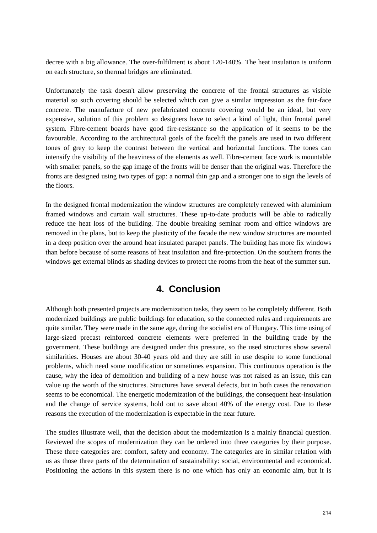decree with a big allowance. The over-fulfilment is about 120-140%. The heat insulation is uniform on each structure, so thermal bridges are eliminated.

Unfortunately the task doesn't allow preserving the concrete of the frontal structures as visible material so such covering should be selected which can give a similar impression as the fair-face concrete. The manufacture of new prefabricated concrete covering would be an ideal, but very expensive, solution of this problem so designers have to select a kind of light, thin frontal panel system. Fibre-cement boards have good fire-resistance so the application of it seems to be the favourable. According to the architectural goals of the facelift the panels are used in two different tones of grey to keep the contrast between the vertical and horizontal functions. The tones can intensify the visibility of the heaviness of the elements as well. Fibre-cement face work is mountable with smaller panels, so the gap image of the fronts will be denser than the original was. Therefore the fronts are designed using two types of gap: a normal thin gap and a stronger one to sign the levels of the floors.

In the designed frontal modernization the window structures are completely renewed with aluminium framed windows and curtain wall structures. These up-to-date products will be able to radically reduce the heat loss of the building. The double breaking seminar room and office windows are removed in the plans, but to keep the plasticity of the facade the new window structures are mounted in a deep position over the around heat insulated parapet panels. The building has more fix windows than before because of some reasons of heat insulation and fire-protection. On the southern fronts the windows get external blinds as shading devices to protect the rooms from the heat of the summer sun.

# **4. Conclusion**

Although both presented projects are modernization tasks, they seem to be completely different. Both modernized buildings are public buildings for education, so the connected rules and requirements are quite similar. They were made in the same age, during the socialist era of Hungary. This time using of large-sized precast reinforced concrete elements were preferred in the building trade by the government. These buildings are designed under this pressure, so the used structures show several similarities. Houses are about 30-40 years old and they are still in use despite to some functional problems, which need some modification or sometimes expansion. This continuous operation is the cause, why the idea of demolition and building of a new house was not raised as an issue, this can value up the worth of the structures. Structures have several defects, but in both cases the renovation seems to be economical. The energetic modernization of the buildings, the consequent heat-insulation and the change of service systems, hold out to save about 40% of the energy cost. Due to these reasons the execution of the modernization is expectable in the near future.

The studies illustrate well, that the decision about the modernization is a mainly financial question. Reviewed the scopes of modernization they can be ordered into three categories by their purpose. These three categories are: comfort, safety and economy. The categories are in similar relation with us as those three parts of the determination of sustainability: social, environmental and economical. Positioning the actions in this system there is no one which has only an economic aim, but it is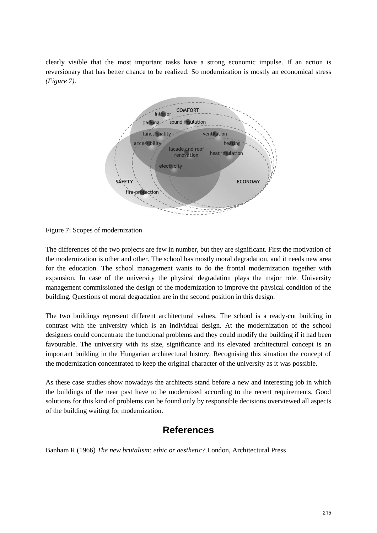clearly visible that the most important tasks have a strong economic impulse. If an action is reversionary that has better chance to be realized. So modernization is mostly an economical stress *(Figure 7)*.



Figure 7: Scopes of modernization

The differences of the two projects are few in number, but they are significant. First the motivation of the modernization is other and other. The school has mostly moral degradation, and it needs new area for the education. The school management wants to do the frontal modernization together with expansion. In case of the university the physical degradation plays the major role. University management commissioned the design of the modernization to improve the physical condition of the building. Questions of moral degradation are in the second position in this design.

The two buildings represent different architectural values. The school is a ready-cut building in contrast with the university which is an individual design. At the modernization of the school designers could concentrate the functional problems and they could modify the building if it had been favourable. The university with its size, significance and its elevated architectural concept is an important building in the Hungarian architectural history. Recognising this situation the concept of the modernization concentrated to keep the original character of the university as it was possible.

As these case studies show nowadays the architects stand before a new and interesting job in which the buildings of the near past have to be modernized according to the recent requirements. Good solutions for this kind of problems can be found only by responsible decisions overviewed all aspects of the building waiting for modernization.

# **References**

Banham R (1966) *The new brutalism: ethic or aesthetic?* London, Architectural Press